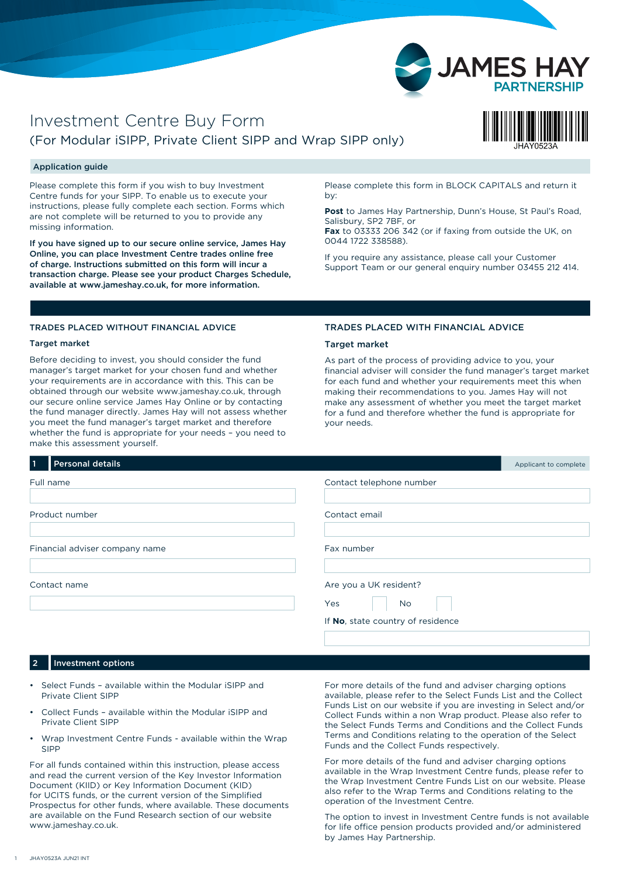

# Investment Centre Buy Form (For Modular iSIPP, Private Client SIPP and Wrap SIPP only)



# Application guide

Please complete this form if you wish to buy Investment Centre funds for your SIPP. To enable us to execute your instructions, please fully complete each section. Forms which are not complete will be returned to you to provide any missing information.

If you have signed up to our secure online service, James Hay Online, you can place Investment Centre trades online free of charge. Instructions submitted on this form will incur a transaction charge. Please see your product Charges Schedule, available at www.jameshay.co.uk, for more information.

Please complete this form in BLOCK CAPITALS and return it by:

**Post** to James Hay Partnership, Dunn's House, St Paul's Road, Salisbury, SP2 7BF, or

**Fax** to 03333 206 342 (or if faxing from outside the UK, on 0044 1722 338588).

If you require any assistance, please call your Customer Support Team or our general enquiry number 03455 212 414.

# TRADES PLACED WITHOUT FINANCIAL ADVICE

# Target market

Before deciding to invest, you should consider the fund manager's target market for your chosen fund and whether your requirements are in accordance with this. This can be obtained through our website www.jameshay.co.uk, through our secure online service James Hay Online or by contacting the fund manager directly. James Hay will not assess whether you meet the fund manager's target market and therefore whether the fund is appropriate for your needs – you need to make this assessment yourself.

# TRADES PLACED WITH FINANCIAL ADVICE

# Target market

As part of the process of providing advice to you, your financial adviser will consider the fund manager's target market for each fund and whether your requirements meet this when making their recommendations to you. James Hay will not make any assessment of whether you meet the target market for a fund and therefore whether the fund is appropriate for your needs.

| <b>Personal details</b><br>  1 | Applicant to complete             |
|--------------------------------|-----------------------------------|
| Full name                      | Contact telephone number          |
| Product number                 | Contact email                     |
| Financial adviser company name | Fax number                        |
| Contact name                   | Are you a UK resident?            |
|                                | Yes<br>No                         |
|                                | If No, state country of residence |

#### Investment options

- Select Funds available within the Modular iSIPP and Private Client SIPP
- Collect Funds available within the Modular iSIPP and Private Client SIPP
- Wrap Investment Centre Funds available within the Wrap SIPP

For all funds contained within this instruction, please access and read the current version of the Key Investor Information Document (KIID) or Key Information Document (KID) for UCITS funds, or the current version of the Simplified Prospectus for other funds, where available. These documents are available on the Fund Research section of our website [www.jameshay.co.uk.](http://www.jameshay.co.uk.)

For more details of the fund and adviser charging options available, please refer to the Select Funds List and the Collect Funds List on our website if you are investing in Select and/or Collect Funds within a non Wrap product. Please also refer to the Select Funds Terms and Conditions and the Collect Funds Terms and Conditions relating to the operation of the Select Funds and the Collect Funds respectively.

For more details of the fund and adviser charging options available in the Wrap Investment Centre funds, please refer to the Wrap Investment Centre Funds List on our website. Please also refer to the Wrap Terms and Conditions relating to the operation of the Investment Centre.

The option to invest in Investment Centre funds is not available for life office pension products provided and/or administered by James Hay Partnership.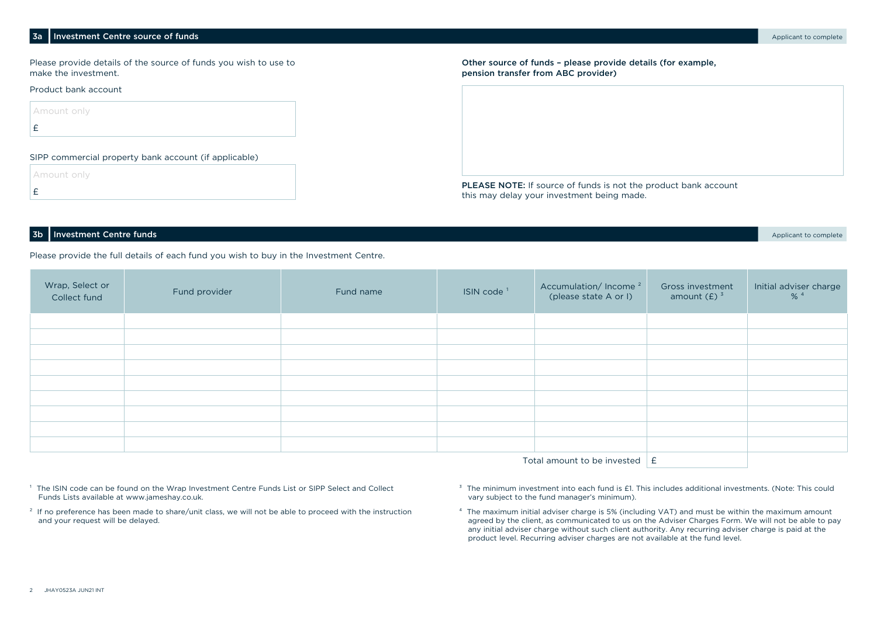#### 3a Investment Centre source of funds and the source of funds and the source of funds and the source of funds and the source of funds and the source of funds and the source of funds and the source of funds and the source of

Please provide details of the source of funds you wish to use to make the investment.

#### Product bank account

 Amount only £

#### SIPP commercial property bank account (if applicable)

Amount only

£

Other source of funds – please provide details (for example, pension transfer from ABC provider)

PLEASE NOTE: If source of funds is not the product bank account this may delay your investment being made.

#### **3b Investment Centre funds** Applicant to complete

Please provide the full details of each fund you wish to buy in the Investment Centre.

| Wrap, Select or<br>Collect fund          | Fund provider | Fund name | ISIN code <sup>1</sup> | Accumulation/Income <sup>2</sup><br>(please state A or I) | Gross investment<br>amount $(E)$ <sup>3</sup> | Initial adviser charge<br>$% ^{4}$ |
|------------------------------------------|---------------|-----------|------------------------|-----------------------------------------------------------|-----------------------------------------------|------------------------------------|
|                                          |               |           |                        |                                                           |                                               |                                    |
|                                          |               |           |                        |                                                           |                                               |                                    |
|                                          |               |           |                        |                                                           |                                               |                                    |
|                                          |               |           |                        |                                                           |                                               |                                    |
|                                          |               |           |                        |                                                           |                                               |                                    |
|                                          |               |           |                        |                                                           |                                               |                                    |
|                                          |               |           |                        |                                                           |                                               |                                    |
|                                          |               |           |                        |                                                           |                                               |                                    |
|                                          |               |           |                        |                                                           |                                               |                                    |
| Total amount to be invested $\mathbf{E}$ |               |           |                        |                                                           |                                               |                                    |

- <sup>1</sup> The ISIN code can be found on the Wrap Investment Centre Funds List or SIPP Select and Collect Funds Lists available at www.jameshay.co.uk.
- <sup>2</sup> If no preference has been made to share/unit class, we will not be able to proceed with the instruction and your request will be delayed.
- <sup>3</sup> The minimum investment into each fund is £1. This includes additional investments. (Note: This could vary subject to the fund manager's minimum).
- ⁴ The maximum initial adviser charge is 5% (including VAT) and must be within the maximum amount agreed by the client, as communicated to us on the Adviser Charges Form. We will not be able to pay any initial adviser charge without such client authority. Any recurring adviser charge is paid at the product level. Recurring adviser charges are not available at the fund level.